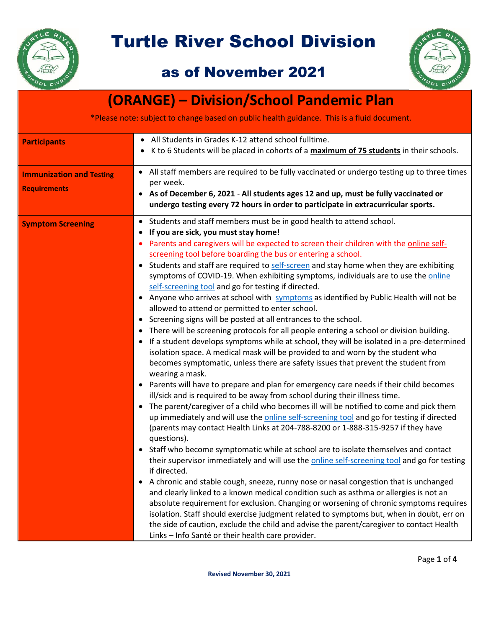

## Turtle River School Division

## as of November 2021



## **(ORANGE) – Division/School Pandemic Plan** \*Please note: subject to change based on public health guidance. This is a fluid document. **Participants All Students in Grades K-12 attend school fulltime.**  K to 6 Students will be placed in cohorts of a **maximum of 75 students** in their schools. **Immunization and Testing Requirements** All staff members are required to be fully vaccinated or undergo testing up to three times per week. **As of December 6, 2021** - **All students ages 12 and up, must be fully vaccinated or undergo testing every 72 hours in order to participate in extracurricular sports. Symptom Screening <b>Students** Students and staff members must be in good health to attend school. **If you are sick, you must stay home!** • Parents and caregivers will be expected to screen their children with th[e online self](https://sharedhealthmb.ca/covid19/screening-tool/)[screening tool](https://sharedhealthmb.ca/covid19/screening-tool/) before boarding the bus or entering a school.  $\bullet$  Students and staff are required to [self-screen](https://sharedhealthmb.ca/covid19/screening-tool/) and stay home when they are exhibiting symptoms of COVID-19. When exhibiting symptoms, individuals are to use th[e online](https://sharedhealthmb.ca/covid19/screening-tool/)  [self-screening tool](https://sharedhealthmb.ca/covid19/screening-tool/) and go for testing if directed. Anyone who arrives at school with [symptoms](https://manitoba.ca/asset_library/en/coronavirus/covid19_screening_checklist.pdf) as identified by Public Health will not be allowed to attend or permitted to enter school. • Screening signs will be posted at all entrances to the school. There will be screening protocols for all people entering a school or division building. If a student develops symptoms while at school, they will be isolated in a pre-determined isolation space. A medical mask will be provided to and worn by the student who becomes symptomatic, unless there are safety issues that prevent the student from wearing a mask. • Parents will have to prepare and plan for emergency care needs if their child becomes ill/sick and is required to be away from school during their illness time. • The parent/caregiver of a child who becomes ill will be notified to come and pick them up immediately and will use the [online self-screening tool](https://sharedhealthmb.ca/covid19/screening-tool/) and go for testing if directed (parents may contact Health Links at 204-788-8200 or 1-888-315-9257 if they have questions). • Staff who become symptomatic while at school are to isolate themselves and contact their supervisor immediately and will use the **online self-screening tool** and go for testing if directed. A chronic and stable cough, sneeze, runny nose or nasal congestion that is unchanged and clearly linked to a known medical condition such as asthma or allergies is not an absolute requirement for exclusion. Changing or worsening of chronic symptoms requires isolation. Staff should exercise judgment related to symptoms but, when in doubt, err on the side of caution, exclude the child and advise the parent/caregiver to contact Health Links – Info Santé or their health care provider.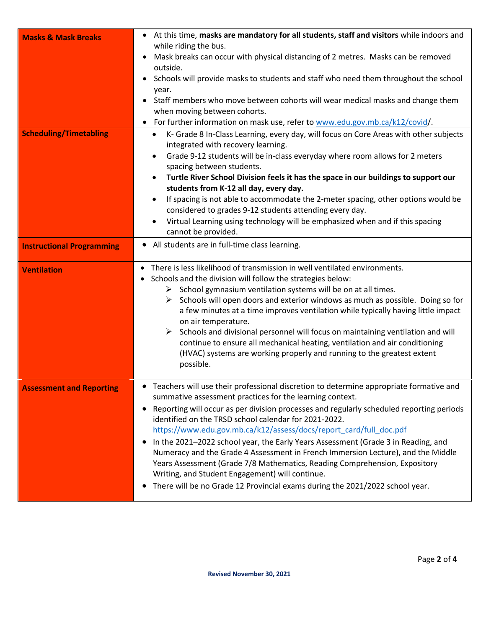| <b>Masks &amp; Mask Breaks</b>   | • At this time, masks are mandatory for all students, staff and visitors while indoors and<br>while riding the bus.<br>Mask breaks can occur with physical distancing of 2 metres. Masks can be removed<br>outside.<br>Schools will provide masks to students and staff who need them throughout the school<br>year.<br>Staff members who move between cohorts will wear medical masks and change them<br>when moving between cohorts.<br>• For further information on mask use, refer to www.edu.gov.mb.ca/k12/covid/.                                                                                                                                                                                                                                                                                        |
|----------------------------------|----------------------------------------------------------------------------------------------------------------------------------------------------------------------------------------------------------------------------------------------------------------------------------------------------------------------------------------------------------------------------------------------------------------------------------------------------------------------------------------------------------------------------------------------------------------------------------------------------------------------------------------------------------------------------------------------------------------------------------------------------------------------------------------------------------------|
| <b>Scheduling/Timetabling</b>    | K- Grade 8 In-Class Learning, every day, will focus on Core Areas with other subjects<br>$\bullet$<br>integrated with recovery learning.<br>Grade 9-12 students will be in-class everyday where room allows for 2 meters<br>$\bullet$<br>spacing between students.<br>Turtle River School Division feels it has the space in our buildings to support our<br>٠<br>students from K-12 all day, every day.<br>If spacing is not able to accommodate the 2-meter spacing, other options would be<br>considered to grades 9-12 students attending every day.<br>Virtual Learning using technology will be emphasized when and if this spacing<br>$\bullet$<br>cannot be provided.                                                                                                                                  |
| <b>Instructional Programming</b> | • All students are in full-time class learning.                                                                                                                                                                                                                                                                                                                                                                                                                                                                                                                                                                                                                                                                                                                                                                |
| <b>Ventilation</b>               | There is less likelihood of transmission in well ventilated environments.<br>$\bullet$<br>• Schools and the division will follow the strategies below:<br>$\triangleright$ School gymnasium ventilation systems will be on at all times.<br>Schools will open doors and exterior windows as much as possible. Doing so for<br>➤<br>a few minutes at a time improves ventilation while typically having little impact<br>on air temperature.<br>Schools and divisional personnel will focus on maintaining ventilation and will<br>continue to ensure all mechanical heating, ventilation and air conditioning<br>(HVAC) systems are working properly and running to the greatest extent<br>possible.                                                                                                           |
| <b>Assessment and Reporting</b>  | Teachers will use their professional discretion to determine appropriate formative and<br>summative assessment practices for the learning context.<br>Reporting will occur as per division processes and regularly scheduled reporting periods<br>$\bullet$<br>identified on the TRSD school calendar for 2021-2022.<br>https://www.edu.gov.mb.ca/k12/assess/docs/report card/full doc.pdf<br>In the 2021-2022 school year, the Early Years Assessment (Grade 3 in Reading, and<br>$\bullet$<br>Numeracy and the Grade 4 Assessment in French Immersion Lecture), and the Middle<br>Years Assessment (Grade 7/8 Mathematics, Reading Comprehension, Expository<br>Writing, and Student Engagement) will continue.<br>There will be no Grade 12 Provincial exams during the 2021/2022 school year.<br>$\bullet$ |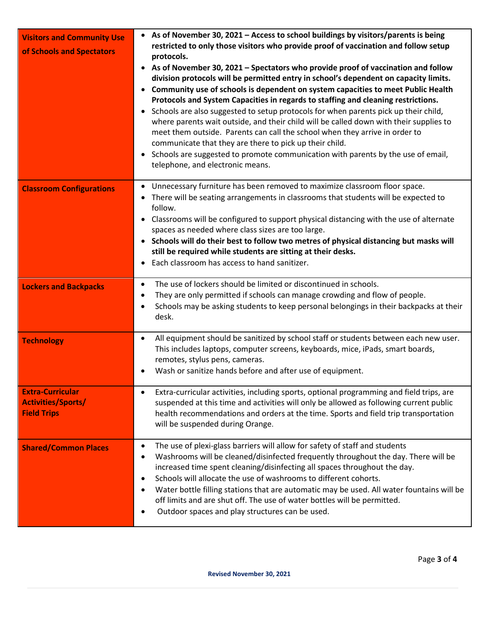| <b>Visitors and Community Use</b><br>of Schools and Spectators             | • As of November 30, 2021 - Access to school buildings by visitors/parents is being<br>restricted to only those visitors who provide proof of vaccination and follow setup<br>protocols.<br>• As of November 30, 2021 - Spectators who provide proof of vaccination and follow<br>division protocols will be permitted entry in school's dependent on capacity limits.<br>• Community use of schools is dependent on system capacities to meet Public Health<br>Protocols and System Capacities in regards to staffing and cleaning restrictions.<br>Schools are also suggested to setup protocols for when parents pick up their child,<br>where parents wait outside, and their child will be called down with their supplies to<br>meet them outside. Parents can call the school when they arrive in order to<br>communicate that they are there to pick up their child.<br>• Schools are suggested to promote communication with parents by the use of email,<br>telephone, and electronic means. |
|----------------------------------------------------------------------------|--------------------------------------------------------------------------------------------------------------------------------------------------------------------------------------------------------------------------------------------------------------------------------------------------------------------------------------------------------------------------------------------------------------------------------------------------------------------------------------------------------------------------------------------------------------------------------------------------------------------------------------------------------------------------------------------------------------------------------------------------------------------------------------------------------------------------------------------------------------------------------------------------------------------------------------------------------------------------------------------------------|
| <b>Classroom Configurations</b>                                            | Unnecessary furniture has been removed to maximize classroom floor space.<br>There will be seating arrangements in classrooms that students will be expected to<br>follow.<br>Classrooms will be configured to support physical distancing with the use of alternate<br>$\bullet$<br>spaces as needed where class sizes are too large.<br>• Schools will do their best to follow two metres of physical distancing but masks will<br>still be required while students are sitting at their desks.<br>Each classroom has access to hand sanitizer.                                                                                                                                                                                                                                                                                                                                                                                                                                                      |
| <b>Lockers and Backpacks</b>                                               | The use of lockers should be limited or discontinued in schools.<br>$\bullet$<br>They are only permitted if schools can manage crowding and flow of people.<br>$\bullet$<br>Schools may be asking students to keep personal belongings in their backpacks at their<br>$\bullet$<br>desk.                                                                                                                                                                                                                                                                                                                                                                                                                                                                                                                                                                                                                                                                                                               |
| <b>Technology</b>                                                          | All equipment should be sanitized by school staff or students between each new user.<br>$\bullet$<br>This includes laptops, computer screens, keyboards, mice, iPads, smart boards,<br>remotes, stylus pens, cameras.<br>Wash or sanitize hands before and after use of equipment.<br>$\bullet$                                                                                                                                                                                                                                                                                                                                                                                                                                                                                                                                                                                                                                                                                                        |
| <b>Extra-Curricular</b><br><b>Activities/Sports/</b><br><b>Field Trips</b> | Extra-curricular activities, including sports, optional programming and field trips, are<br>suspended at this time and activities will only be allowed as following current public<br>health recommendations and orders at the time. Sports and field trip transportation<br>will be suspended during Orange.                                                                                                                                                                                                                                                                                                                                                                                                                                                                                                                                                                                                                                                                                          |
| <b>Shared/Common Places</b>                                                | The use of plexi-glass barriers will allow for safety of staff and students<br>$\bullet$<br>Washrooms will be cleaned/disinfected frequently throughout the day. There will be<br>$\bullet$<br>increased time spent cleaning/disinfecting all spaces throughout the day.<br>Schools will allocate the use of washrooms to different cohorts.<br>$\bullet$<br>Water bottle filling stations that are automatic may be used. All water fountains will be<br>$\bullet$<br>off limits and are shut off. The use of water bottles will be permitted.<br>Outdoor spaces and play structures can be used.<br>$\bullet$                                                                                                                                                                                                                                                                                                                                                                                        |